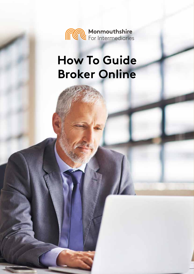

# **How To Guide Broker Online**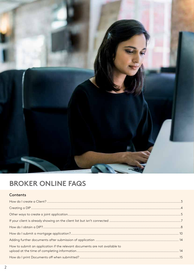

## **BROKER ONLINE FAQS**

#### Contents

| How to submit an application if the relevant documents are not available to |  |
|-----------------------------------------------------------------------------|--|
|                                                                             |  |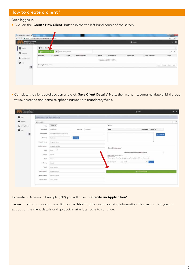Once logged in:

● Click on the '**Create New Client**' button in the top left hand corner of the screen.

| Monmouthshire                            |                         |                                |              |                                           | $\triangle$ Helle   |                  |                       | $\mathbf{r}$  |
|------------------------------------------|-------------------------|--------------------------------|--------------|-------------------------------------------|---------------------|------------------|-----------------------|---------------|
| to Your Client<br><b>Charle New Cler</b> | Q: Enterstatch criteria |                                |              |                                           |                     |                  |                       | $10 - 5$      |
| <b>Forenames</b>                         | * Surrams               | 5.08<br><b>Email/Uservante</b> | <b>Phone</b> | Lage Ameure<br>No data available in table | <b>Product Code</b> | Other Applicants | ÷                     | <b>Status</b> |
| Shewing 0 to 0 of 0 anthes               |                         |                                |              |                                           |                     |                  | FILL Premie Park Link |               |

● Complete the client details screen and click '**Save Client Details**'. Note, the first name, surname, date of birth, road, town, postcode and home telephone number are mandatory fields.

|                                     | Please complete your client's details be too.              |                                                                            |           |                      |                                                                      |                                                                                                                                                                                                         |
|-------------------------------------|------------------------------------------------------------|----------------------------------------------------------------------------|-----------|----------------------|----------------------------------------------------------------------|---------------------------------------------------------------------------------------------------------------------------------------------------------------------------------------------------------|
| Clerk Details                       |                                                            |                                                                            |           |                      |                                                                      | $-2$                                                                                                                                                                                                    |
| TOW                                 |                                                            |                                                                            |           | Notes:               |                                                                      |                                                                                                                                                                                                         |
| <b>Rolenames</b>                    | Fritning                                                   | Sertains                                                                   | Satistics | <b>COLOR</b><br>Hote | L. P. & K. L. L. & L. B. M. L. & P. L. & L.<br>Created By Created On |                                                                                                                                                                                                         |
| base of siem.                       | Date Of Jarm (Day Month-Rear)                              |                                                                            |           |                      | + Add Note                                                           |                                                                                                                                                                                                         |
| Postcode:                           | Pettoolin                                                  | <b>Long</b>                                                                |           |                      |                                                                      |                                                                                                                                                                                                         |
| Procedy Name:                       | Property Nation                                            |                                                                            |           |                      |                                                                      |                                                                                                                                                                                                         |
| Pidderty Municer                    | Property Number                                            |                                                                            |           |                      |                                                                      |                                                                                                                                                                                                         |
| <b>Start</b>                        | $\mathsf{D}$                                               |                                                                            |           |                      |                                                                      |                                                                                                                                                                                                         |
| District                            | Dunki                                                      |                                                                            |           |                      |                                                                      |                                                                                                                                                                                                         |
| Toyot                               | $-$ Times                                                  |                                                                            |           |                      |                                                                      |                                                                                                                                                                                                         |
| County                              |                                                            |                                                                            |           | Inte Sesington       | . .<br>$-3$ elect -<br><b>Hytrad</b>                                 |                                                                                                                                                                                                         |
| Erail                               | <b>BETWEEN CENTER</b><br><b>Pauli Address</b>              |                                                                            |           |                      |                                                                      |                                                                                                                                                                                                         |
| <b>COVERS</b><br><b>Home Number</b> | <b>Several Andrew Construction</b><br><b>FIGINE NUMBER</b> |                                                                            |           |                      |                                                                      |                                                                                                                                                                                                         |
| <b>MERIN NUMBER</b>                 | <b><i>District College College</i></b>                     |                                                                            |           |                      |                                                                      |                                                                                                                                                                                                         |
|                                     |                                                            |                                                                            |           |                      |                                                                      |                                                                                                                                                                                                         |
|                                     | 05/05/2016<br>Werk Mumber                                  | $-5002 - 1$<br>$3$ uid<br>- Courty<br>Middle Nation<br><b>Vitch Rundam</b> |           |                      |                                                                      | Client Documents<br>There are no discussed thereinly upstains.<br>Droom File Inc file chosen<br>Photos spined fries of type juve, prop or pell only. (by to 4M9 per deconvers)<br>El Veve Chert Details |

To create a Decision in Principle (DIP) you will have to '**Create an Application'**.

Please note that as soon as you click on the '**Next**' button you are saving information. This means that you can exit out of the client details and go back in at a later date to continue.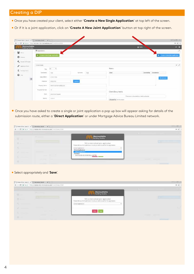#### Creating a DIP

- Once you have created your client, select either '**Create a New Single Application**' at top left of the screen.
- Or if it is a joint application, click on '**Create A New Joint Application**' button at top right of the screen.

|                                   | $\bigcap$ Brie Dire until K $\bigcap$ Hermotoyland K .                     |                        |                               |                              |                                             | TARAIN TE                      |
|-----------------------------------|----------------------------------------------------------------------------|------------------------|-------------------------------|------------------------------|---------------------------------------------|--------------------------------|
|                                   | C + B Sacure : Missuite-broket miss-intermediates.com/Carri (Salaris-4355) |                        |                               |                              |                                             | 新食工                            |
| Monmouthshire<br>Building Society |                                                                            |                        |                               |                              | A mile                                      | <b>DOM: NO</b>                 |
|                                   | <b>E</b> Applications                                                      |                        |                               |                              |                                             |                                |
| 불 :---                            | O Crown A New Single Application                                           |                        |                               |                              |                                             | O Cruste A two juni readvalent |
| <b>0</b> hours                    |                                                                            |                        |                               |                              |                                             |                                |
| C. Institutions                   |                                                                            |                        |                               |                              |                                             |                                |
| $2$ -instance from                | Client (Intails)                                                           |                        |                               |                              |                                             | $-2$                           |
|                                   | <b>Troy</b>                                                                | $w = -1$               |                               | Notes:                       |                                             |                                |
| £ Immation<br>$\mathbf{O}$        | ksienanen                                                                  | Test                   | 52<br><b>Test</b><br>Surronte | mno<br>tote                  | Created by Created On                       |                                |
|                                   |                                                                            |                        |                               |                              |                                             |                                |
| $\circ$                           | Cuse of Birm                                                               | isterution.            |                               |                              | <b>+Allifane</b>                            |                                |
|                                   | Elementary                                                                 | AP20 1PE               | <b>LOCKS</b>                  |                              |                                             |                                |
|                                   | Presents Name                                                              | Monmouthshire Bldg Soz |                               |                              |                                             |                                |
|                                   | Property Number                                                            | 19                     |                               |                              |                                             |                                |
|                                   |                                                                            |                        |                               | Client Documents             |                                             |                                |
|                                   | Rost                                                                       | John Frost Square      |                               |                              | There are no description to her by added to |                                |
|                                   | <b>District</b>                                                            | <b>INDIA</b>           |                               |                              |                                             |                                |
|                                   |                                                                            |                        |                               | Dispute File   No Fix chosen |                                             |                                |

● Once you have asked to create a single or joint application a pop up box will appear asking for details of the submission route, either a '**Direct Application**' or under Mortgage Advice Bureau Limited network.

|                 | $\Phi_{\mathbb{C}} = \mathbb{C} \left[ \begin{array}{cc} \text{if } \mathsf{Soc} = \mathsf{Frc}_\mathbb{C} \text{ if } \mathsf{Soc} \text{ is the same set of } \mathbb{C} \text{ and } \mathsf{Frc}_\mathbb{C} \text{ is a finite.} \end{array} \right.$ |                                                                                                                    | $m \cdot n$                                                                                                                                                                                                                          |
|-----------------|-----------------------------------------------------------------------------------------------------------------------------------------------------------------------------------------------------------------------------------------------------------|--------------------------------------------------------------------------------------------------------------------|--------------------------------------------------------------------------------------------------------------------------------------------------------------------------------------------------------------------------------------|
| T.              | <b>STATISTICS</b>                                                                                                                                                                                                                                         | Monmouthshire                                                                                                      | Albert Communication of the Communication                                                                                                                                                                                            |
| <b>13 Lines</b> |                                                                                                                                                                                                                                                           | Tell us more about your application<br>Please retires which submission route you with to use for this application. |                                                                                                                                                                                                                                      |
| ÷               |                                                                                                                                                                                                                                                           | <b>Direct Application</b><br>DirectApplication<br><b>Direct Application</b>                                        |                                                                                                                                                                                                                                      |
|                 | <b>STATISTICS</b>                                                                                                                                                                                                                                         | Nietwork.<br>MORTGAGE ADVICE BUREAU LIMITED.<br><b>AND COMMERCIAL</b>                                              | <b>Contract Contract Contract Contract Contract Contract Contract Contract Contract Contract Contract Contract Contract Contract Contract Contract Contract Contract Contract Contract Contract Contract Contract Contract Contr</b> |

● Select appropriately and '**Save**'.

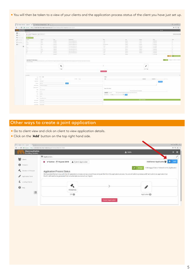● You will then be taken to a view of your clients and the application process status of the client you have just set up.

|                                   | Christian contr x (Christianities x)           |                 |                          |                                                                                                |                                                                                                                                                                                                                                                                                                                                                                                                                                                                            |                                                                                                |                                                                                                | 他(1m) P.                                                            |
|-----------------------------------|------------------------------------------------|-----------------|--------------------------|------------------------------------------------------------------------------------------------|----------------------------------------------------------------------------------------------------------------------------------------------------------------------------------------------------------------------------------------------------------------------------------------------------------------------------------------------------------------------------------------------------------------------------------------------------------------------------|------------------------------------------------------------------------------------------------|------------------------------------------------------------------------------------------------|---------------------------------------------------------------------|
|                                   |                                                |                 |                          |                                                                                                |                                                                                                                                                                                                                                                                                                                                                                                                                                                                            |                                                                                                |                                                                                                | 和范古                                                                 |
| <b>STATISTICS</b><br>30 Alexander |                                                |                 |                          |                                                                                                |                                                                                                                                                                                                                                                                                                                                                                                                                                                                            |                                                                                                | <b>COMP</b>                                                                                    |                                                                     |
| & Abba Trigocore & Constitution   |                                                |                 |                          |                                                                                                |                                                                                                                                                                                                                                                                                                                                                                                                                                                                            |                                                                                                |                                                                                                | Attitude Auction Art                                                |
| $\sim$                            |                                                |                 |                          |                                                                                                |                                                                                                                                                                                                                                                                                                                                                                                                                                                                            |                                                                                                |                                                                                                |                                                                     |
| <b>Citizen</b>                    |                                                |                 |                          |                                                                                                |                                                                                                                                                                                                                                                                                                                                                                                                                                                                            |                                                                                                |                                                                                                |                                                                     |
| <b>COMME</b>                      | <b>SERVICE</b>                                 | $\frac{1}{2}$   | <b>DESIGNER</b>          | $\frac{1}{2}$                                                                                  | $\sim$                                                                                                                                                                                                                                                                                                                                                                                                                                                                     | $\frac{1}{2} \left( \frac{1}{2} \right) \left( \frac{1}{2} \right) \left( \frac{1}{2} \right)$ | $\frac{1}{2} \left( \frac{1}{2} \right) \left( \frac{1}{2} \right) \left( \frac{1}{2} \right)$ | $\frac{1}{2} \left( \frac{1}{2} \right) \left( \frac{1}{2} \right)$ |
| $-1$                              | ines.                                          | 199.00          | <b>DISTURBANCE</b>       | 100                                                                                            | Total C                                                                                                                                                                                                                                                                                                                                                                                                                                                                    | $-0.014$                                                                                       | <b>CONTRACTOR</b>                                                                              |                                                                     |
| in the case                       | <b>Home</b>                                    |                 | a term and a se-         | <b>Limits</b>                                                                                  | $\frac{1}{2} \left( \frac{1}{2} \right) \left( \frac{1}{2} \right) \left( \frac{1}{2} \right) \left( \frac{1}{2} \right) \left( \frac{1}{2} \right) \left( \frac{1}{2} \right) \left( \frac{1}{2} \right) \left( \frac{1}{2} \right) \left( \frac{1}{2} \right) \left( \frac{1}{2} \right) \left( \frac{1}{2} \right) \left( \frac{1}{2} \right) \left( \frac{1}{2} \right) \left( \frac{1}{2} \right) \left( \frac{1}{2} \right) \left( \frac{1}{2} \right) \left( \frac$ | $-0.014$                                                                                       | <b>COMPANY</b>                                                                                 | $\sim$                                                              |
| $-11$                             | u                                              | Don't be        | Limited St               | $100 - 100$                                                                                    | u                                                                                                                                                                                                                                                                                                                                                                                                                                                                          | THEFT.                                                                                         | $\frac{1}{2}$                                                                                  | œ                                                                   |
| $-1$                              | w                                              | <b>Contract</b> | Alternations of          | <b>TERR</b>                                                                                    | <b>TORONTO</b>                                                                                                                                                                                                                                                                                                                                                                                                                                                             | $-00440$                                                                                       | <b>EXPLANATION</b>                                                                             | ×                                                                   |
| <b>Service</b>                    | œ.                                             | <b>Weight</b>   | permitted and set        | um                                                                                             |                                                                                                                                                                                                                                                                                                                                                                                                                                                                            | <b>SERVICE</b>                                                                                 | provident of                                                                                   | 54                                                                  |
| Days:                             | paint.                                         | <b>CONTRACT</b> | August 2020 Edition Ave. | Links of                                                                                       | <b>Service</b>                                                                                                                                                                                                                                                                                                                                                                                                                                                             | sense.                                                                                         | <b>COMMON</b>                                                                                  | $\sim$                                                              |
| <br>$-44.$                        | تنتزا                                          | police.         | personal dealer          | <b>Despite</b>                                                                                 | <b>Charles</b>                                                                                                                                                                                                                                                                                                                                                                                                                                                             | $-0.0146$                                                                                      | <b>Home</b>                                                                                    | 75                                                                  |
| <b>Call</b>                       | the c                                          | <b>COMPANY</b>  | and well with the state  | $\frac{1}{2} \left( \frac{1}{2} \right) \left( \frac{1}{2} \right) \left( \frac{1}{2} \right)$ | Seattle.                                                                                                                                                                                                                                                                                                                                                                                                                                                                   | <b>CARLOS</b>                                                                                  | <b>Contractor</b>                                                                              | $\sim$                                                              |
|                                   | --<br>-                                        | <b>Service</b>  | ____                     | <b>Time</b>                                                                                    | $\frac{1}{2} \left( \frac{1}{2} \right) \left( \frac{1}{2} \right) \left( \frac{1}{2} \right) \left( \frac{1}{2} \right)$                                                                                                                                                                                                                                                                                                                                                  |                                                                                                | $\frac{1}{2}$                                                                                  |                                                                     |
|                                   |                                                |                 |                          |                                                                                                |                                                                                                                                                                                                                                                                                                                                                                                                                                                                            |                                                                                                |                                                                                                | $0.303 - 1$                                                         |
|                                   |                                                | $-18$           |                          | <b>Contractor</b>                                                                              |                                                                                                                                                                                                                                                                                                                                                                                                                                                                            | provided and                                                                                   |                                                                                                |                                                                     |
|                                   |                                                |                 |                          |                                                                                                |                                                                                                                                                                                                                                                                                                                                                                                                                                                                            |                                                                                                |                                                                                                |                                                                     |
|                                   |                                                |                 |                          |                                                                                                |                                                                                                                                                                                                                                                                                                                                                                                                                                                                            |                                                                                                |                                                                                                |                                                                     |
| <b>Services</b>                   |                                                |                 |                          |                                                                                                |                                                                                                                                                                                                                                                                                                                                                                                                                                                                            |                                                                                                |                                                                                                |                                                                     |
|                                   | $-7.777$                                       |                 |                          | <b>TOM</b>                                                                                     |                                                                                                                                                                                                                                                                                                                                                                                                                                                                            |                                                                                                |                                                                                                |                                                                     |
| Alleger 1.60                      |                                                |                 | John Clay                | ×                                                                                              |                                                                                                                                                                                                                                                                                                                                                                                                                                                                            | makering.                                                                                      | $\frac{1}{2}$                                                                                  |                                                                     |
|                                   | Annabis - Military                             |                 |                          |                                                                                                |                                                                                                                                                                                                                                                                                                                                                                                                                                                                            |                                                                                                | <b>TELEVISION</b>                                                                              |                                                                     |
|                                   | Asset Laborer                                  |                 | E                        |                                                                                                |                                                                                                                                                                                                                                                                                                                                                                                                                                                                            |                                                                                                |                                                                                                |                                                                     |
|                                   |                                                |                 |                          |                                                                                                |                                                                                                                                                                                                                                                                                                                                                                                                                                                                            |                                                                                                |                                                                                                |                                                                     |
|                                   | produces. Construction and                     |                 |                          |                                                                                                |                                                                                                                                                                                                                                                                                                                                                                                                                                                                            |                                                                                                |                                                                                                |                                                                     |
| barages', I'm                     |                                                |                 |                          | Next Broadway                                                                                  |                                                                                                                                                                                                                                                                                                                                                                                                                                                                            |                                                                                                |                                                                                                |                                                                     |
|                                   | has become                                     |                 |                          |                                                                                                |                                                                                                                                                                                                                                                                                                                                                                                                                                                                            |                                                                                                |                                                                                                |                                                                     |
|                                   | Amy Care                                       |                 |                          |                                                                                                |                                                                                                                                                                                                                                                                                                                                                                                                                                                                            | Present and contact the contact of                                                             |                                                                                                |                                                                     |
|                                   |                                                |                 |                          | China da Contenent                                                                             | their starter that plan personal claimed at demand.                                                                                                                                                                                                                                                                                                                                                                                                                        |                                                                                                |                                                                                                |                                                                     |
|                                   | the Common                                     |                 |                          | process 113mg                                                                                  | 大学                                                                                                                                                                                                                                                                                                                                                                                                                                                                         |                                                                                                |                                                                                                |                                                                     |
|                                   | Dettor Colomb                                  |                 |                          |                                                                                                |                                                                                                                                                                                                                                                                                                                                                                                                                                                                            |                                                                                                |                                                                                                |                                                                     |
|                                   | hat completely                                 |                 |                          |                                                                                                |                                                                                                                                                                                                                                                                                                                                                                                                                                                                            |                                                                                                |                                                                                                |                                                                     |
|                                   | THE RIGHT COMPANY.                             |                 |                          |                                                                                                |                                                                                                                                                                                                                                                                                                                                                                                                                                                                            | <b>Construction</b>                                                                            |                                                                                                |                                                                     |
|                                   |                                                |                 |                          |                                                                                                |                                                                                                                                                                                                                                                                                                                                                                                                                                                                            |                                                                                                |                                                                                                |                                                                     |
|                                   | and down of the con-<br>cars area." I dominate |                 |                          |                                                                                                |                                                                                                                                                                                                                                                                                                                                                                                                                                                                            |                                                                                                |                                                                                                |                                                                     |

#### Other ways to create a joint application

- **•** Go to client view and click on client to view application details.
- Click on the '**Add**' button on the top right hand side.

| <b>Building Society</b> |                                                                             | <b>A</b> Hallo                                                                                                                                                                                | $\bullet$ =                                    |
|-------------------------|-----------------------------------------------------------------------------|-----------------------------------------------------------------------------------------------------------------------------------------------------------------------------------------------|------------------------------------------------|
| 警 Gers                  | <b>ER</b> Applications                                                      |                                                                                                                                                                                               |                                                |
|                         | Active 15 June 2018<br>A Submit Application<br>۰                            | Additional Applicants                                                                                                                                                                         | 0.661                                          |
| <b>0</b> - Products     |                                                                             |                                                                                                                                                                                               | A Mortgage Club or Network to this Application |
| C Destate in Principle  | Application Process Status                                                  | Atkien                                                                                                                                                                                        |                                                |
|                         |                                                                             |                                                                                                                                                                                               |                                                |
|                         |                                                                             | We have identified an issue with the KFI generation process and as a result have removed this from the application process. You are still able to produce a DIP and submit an application but |                                                |
| I<br>Application form   | the KFI will need to be generated from an alternate source such as Trigold. |                                                                                                                                                                                               |                                                |
| £ Lindig Omita          |                                                                             |                                                                                                                                                                                               |                                                |
| $Q_{\text{max}}$        |                                                                             | α                                                                                                                                                                                             |                                                |
| $\circ$                 | PENDING<br>$D + 10$                                                         | Application @                                                                                                                                                                                 |                                                |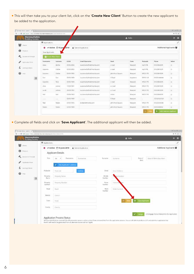● This will then take you to your client list, click on the '**Create New Client**' Button to create the new applicant to be added to the application.

| Monmouthshire             |                                                                                                                                                                                                                                                                                                                                                                                                                                                                            |                                                                                                |            |                             |                   | & Hello  |           |                       | $\bullet$ $\equiv$           |
|---------------------------|----------------------------------------------------------------------------------------------------------------------------------------------------------------------------------------------------------------------------------------------------------------------------------------------------------------------------------------------------------------------------------------------------------------------------------------------------------------------------|------------------------------------------------------------------------------------------------|------------|-----------------------------|-------------------|----------|-----------|-----------------------|------------------------------|
| <b>Building Society</b>   | 開 Applications                                                                                                                                                                                                                                                                                                                                                                                                                                                             |                                                                                                |            |                             |                   |          |           |                       |                              |
| 鬡<br>Clarm                | ۰                                                                                                                                                                                                                                                                                                                                                                                                                                                                          | ← Active <sup>15</sup> 15 Jun                                                                  | 2018       | A Submit Application        |                   |          |           | Additional Applicants |                              |
| o<br>Products             | Your Applicants                                                                                                                                                                                                                                                                                                                                                                                                                                                            |                                                                                                |            |                             |                   |          |           |                       |                              |
| ×.<br>Decision la Préside | Cristie Nov Client                                                                                                                                                                                                                                                                                                                                                                                                                                                         |                                                                                                |            |                             |                   |          |           |                       |                              |
| Application Form          | Forenames                                                                                                                                                                                                                                                                                                                                                                                                                                                                  | Siamanne                                                                                       | 0.0.8.     | Entail/Username             | Road              | Town     | Postcode  | Phone                 | Select                       |
|                           | 15th E.                                                                                                                                                                                                                                                                                                                                                                                                                                                                    | dutter                                                                                         | 05/06/2002 | suzanne duthie@monbs.com    | cross             | Newport  | nplif lib | 01633844309           | $\Box$                       |
| £<br>Lending Colleria     | Susanne                                                                                                                                                                                                                                                                                                                                                                                                                                                                    | Duthee                                                                                         | 05/04/2002 | suzanne duthret/monbs.com   | 0.0045            | Newport  | np18 Ilb  | 01033844309           | B                            |
| ๏<br><b>Address</b>       | Satimin                                                                                                                                                                                                                                                                                                                                                                                                                                                                    | Outlike                                                                                        | 05/04/1995 | suzanne duthio@monte.com    | John Front Square | Newport  | NP20 1PX  | 01633844309           | <b>DE</b>                    |
| $\circ$                   | Dan:                                                                                                                                                                                                                                                                                                                                                                                                                                                                       | :Dan                                                                                           | 05/05/1989 | suzanne duifvir@monbs.com   | C Food            | Anywhere | NPER-1LB  | 01633 444444          | B.                           |
|                           | Suzanne                                                                                                                                                                                                                                                                                                                                                                                                                                                                    | Ross                                                                                           | 05/06/1989 | suzannie durhiedl monbs.com | creat!            | Newport  | NP20 TPX  | 01633844305           | i zi                         |
|                           | chrs.                                                                                                                                                                                                                                                                                                                                                                                                                                                                      | convice                                                                                        | 14/09/1981 | suzanne.duthiellimonbs.com  | cc road           | Newport  | NP20 1PX  | 01633844309           | T)                           |
|                           | sarah                                                                                                                                                                                                                                                                                                                                                                                                                                                                      | periores:                                                                                      | 26/09/1992 | tezanne duthiell monbs.com  | cc road           | Newport  | NP20 TPX  | 01633844309           | $\qquad \qquad \blacksquare$ |
|                           | neut                                                                                                                                                                                                                                                                                                                                                                                                                                                                       | test                                                                                           | D5/04/1963 | suzanne duthie@monbs.com    | mmm.              | Newport. | NP20.1PX  | 01633844309           | $\Box$                       |
|                           | $\frac{1}{2} \left( \frac{1}{2} \right) \left( \frac{1}{2} \right) \left( \frac{1}{2} \right) \left( \frac{1}{2} \right) \left( \frac{1}{2} \right) \left( \frac{1}{2} \right) \left( \frac{1}{2} \right) \left( \frac{1}{2} \right) \left( \frac{1}{2} \right) \left( \frac{1}{2} \right) \left( \frac{1}{2} \right) \left( \frac{1}{2} \right) \left( \frac{1}{2} \right) \left( \frac{1}{2} \right) \left( \frac{1}{2} \right) \left( \frac{1}{2} \right) \left( \frac$ | $\frac{1}{2} \left( \frac{1}{2} \right) \left( \frac{1}{2} \right) \left( \frac{1}{2} \right)$ | 02/03/1989 | ----                        | C Road            | Newport  | $\sim$    | 121321321321          | $\Rightarrow$                |
|                           | Test                                                                                                                                                                                                                                                                                                                                                                                                                                                                       | Tester.                                                                                        | 01/01/1995 | brokers@monbs.com           | John Frost Square | Newport  | NP20 1PX  | 01633 844338          | 当                            |
|                           | Tester                                                                                                                                                                                                                                                                                                                                                                                                                                                                     | Tostar                                                                                         | 02/03/1989 |                             | John Frost Square | Newport  | NP20.1PX  | 03455488002           | $\equiv$                     |

● Complete all fields and click on '**Save Applicant**'. The additional applicant will then be added.

| Monmouthshire<br><b>Building Society</b> |                       |                                |                      |                       | A Hello         |                             |                                                | $D =$ |
|------------------------------------------|-----------------------|--------------------------------|----------------------|-----------------------|-----------------|-----------------------------|------------------------------------------------|-------|
| 憾                                        | <b>R</b> Applications |                                |                      |                       |                 |                             |                                                | ł.    |
| Clera                                    | ٠                     | ← Active [15 June 2018         | A Submit Application |                       |                 |                             | Additional Applicants 管                        |       |
| $\theta$<br>Products                     |                       | Applicant Details              |                      |                       |                 |                             |                                                |       |
| ×.<br><b>Census In Avecular</b>          | Tile                  | Forenames<br>Mr<br>٠           | Formames             | Somarte               | Surname         | Date of                     | Date Of Birth (Day-Mont)                       |       |
| ₽<br>Application Form                    |                       |                                |                      |                       |                 | Bith.                       |                                                |       |
| £<br>Lending Coleria                     |                       | <b>Use Applicant 1 address</b> |                      |                       |                 |                             |                                                |       |
| $\mathbf{Q}$                             | Postocde              | Postibile                      | Locksun              | <b>Email</b>          | kmail Alltiness |                             |                                                |       |
| $\circ$                                  | Property<br>Name      | Property Name                  |                      | Mobile<br>Number      | (le Number      |                             |                                                |       |
|                                          | Property<br>Number    | Property Number                |                      | Histog<br>Namber      | <b>Jogene h</b> |                             |                                                |       |
|                                          | Road                  | Road                           |                      | <b>Work</b><br>Number | Work Number     |                             |                                                |       |
|                                          | District.             | Debict                         |                      |                       |                 |                             |                                                |       |
|                                          | Town.                 | Tines.                         |                      |                       | $-$ Hotel       | <b>Bit Save Applicant</b>   |                                                |       |
|                                          | <b>County</b>         | County                         |                      |                       |                 |                             |                                                |       |
|                                          |                       |                                |                      |                       |                 | $\blacktriangleright$ Assoc | A Mortgage Club or Network to this Application |       |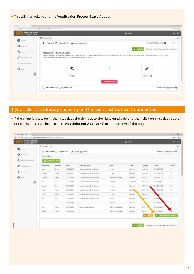● This will then take you to the '**Application Process Status**' page.

| Monmouthshire           |                                                                                                                                                                                                                            |                                                |
|-------------------------|----------------------------------------------------------------------------------------------------------------------------------------------------------------------------------------------------------------------------|------------------------------------------------|
| <b>Building Society</b> |                                                                                                                                                                                                                            | œ<br>E<br>A Hello                              |
|                         | 图 Applications:                                                                                                                                                                                                            | ৴                                              |
| 쑝<br>Dave:              | ← Active <sup>1</sup> 15 june 2018 A Submit Application<br>Θ                                                                                                                                                               | Additional Applicants 望<br>tiest               |
| $\bullet$<br>Freeints.  |                                                                                                                                                                                                                            |                                                |
| Commitments             |                                                                                                                                                                                                                            | A Mortgage Club or Network to this Application |
|                         | Application Process Status<br>We have identified an issue with the KFI generation process and as a result have removed this from the application process. You are still able to produce a DP and submit an application but |                                                |
| v<br>Application Form   | the KFI will need to be generated from an alternate source such as Trigold.                                                                                                                                                |                                                |
|                         |                                                                                                                                                                                                                            |                                                |
|                         |                                                                                                                                                                                                                            |                                                |
| £<br>Lending Criteria   |                                                                                                                                                                                                                            |                                                |
| 0<br>Help               |                                                                                                                                                                                                                            | <b>CAN</b>                                     |
|                         |                                                                                                                                                                                                                            |                                                |
| $\circ$                 | $0 + 40$                                                                                                                                                                                                                   | Application CD                                 |
|                         |                                                                                                                                                                                                                            | Cancel Application                             |

### If your client is already showing on the client list but isn't connected

● If the client is showing in the list, select the tick box to the right hand side and then click on the select button to tick the box and then click on '**Add Selected Applicant**' at the bottom of the page.

| Monmouthshire<br><b>Building Society</b> |                    |                                                                                                |               |                             |                   | A Helio  |                |                          | œ              |
|------------------------------------------|--------------------|------------------------------------------------------------------------------------------------|---------------|-----------------------------|-------------------|----------|----------------|--------------------------|----------------|
| w                                        | 图 Applications:    |                                                                                                |               |                             |                   |          |                |                          |                |
| Clents                                   |                    | ← Active <sup>1</sup> 15 June 2018                                                             |               | A Submit Application        |                   |          |                | Additional Applicants    |                |
| Foxfurts                                 | Your Applicants    |                                                                                                |               |                             |                   |          |                |                          |                |
| Designation Principle                    | C Cheate New Chert |                                                                                                |               |                             |                   |          |                |                          |                |
| Application Form                         | Forenames          | Surname                                                                                        | <b>D.O.E.</b> | Email/Username              | Road              | Town     | Postcode       | Phone                    | Select         |
|                                          | steve.             | duthe                                                                                          | ES/05/2002    | suzarne duthiettimonbs.com  | E road            | Newport  | no18 Th        | 01633844309              | 13             |
| Lending Crimile                          | Suzanine           | Duthle.                                                                                        | 05/64/2002    | auzanne duthie@monbs.com    | It road           | Мемротт. | np18.1lb       | 01633844309              | 症              |
| Help                                     | Subanine           | Duthle                                                                                         | 05/04/1995    | suzanne duthie@monbs.com    | John Frest Square | Newport  | NP20-TPX       | 01633844309              | 证              |
| $\circ$                                  | <b>Clark</b>       | Dan                                                                                            | 05/05/1989    | suzarne.tludi@drambs.com    | C Road            | Anywhere | NP15 SLB       | 01633444444              | $\overline{u}$ |
|                                          | Sustee             | Ross                                                                                           | 05/06/1989    | suzarne.duthio@monbic.com   | Ernad             | Newport. | NP29 1PE       | 01633844309              | 目              |
|                                          | <b>CDHIS</b>       | CONTROL                                                                                        | 14/09/1981    | natarne duthie@montis.com   | DE70-MT           | Newpr.   | NP20.1PE       | 00E04826210              | O.             |
|                                          | harafu             | jankins                                                                                        | 26/09/1992    | suzarne.duthiel/montrs.com  | its read          | Newport  | NP20 1RX       | 844309<br>oth            | U.             |
|                                          | test               | test                                                                                           | (5/04/1965)   | subarrie duffiel@months.com | <b>HTTMTS</b>     | Newport  | <b>PSILTPS</b> | 0163384                  | Ð              |
|                                          |                    | $\frac{1}{2} \left( \frac{1}{2} \right) \left( \frac{1}{2} \right) \left( \frac{1}{2} \right)$ | 02/03/1989    |                             | C Road            | Люирет   |                | 12132132132              | 日              |
|                                          | Test               | Tester                                                                                         | 01/01/1995    | Impliers@monits.com         | John Frest Square | Newport  | 5(P20.1PX)     | 01633 544308             |                |
|                                          | Tester             | Tester                                                                                         | 02/03/1989    |                             | John Frost Square | Newport  | NP20 19%       | 045548002                | W.             |
|                                          |                    |                                                                                                |               |                             |                   |          |                | + Add Selected Applicant |                |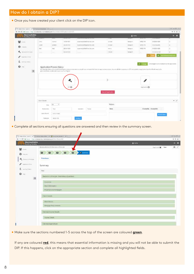#### How do I obtain a DIP?

● Once you have created your client click on the DIP icon.

| ← → C   Lisus   Http://e-bote.nts-ntsmedicha.com/Dun/Dealu13337/pRunivill-1373 |                                                            |                                                                                  |                    |                                                                                                                                                                                                                     |                    |                |                            |                        | $9 - 3 - 4$          |
|--------------------------------------------------------------------------------|------------------------------------------------------------|----------------------------------------------------------------------------------|--------------------|---------------------------------------------------------------------------------------------------------------------------------------------------------------------------------------------------------------------|--------------------|----------------|----------------------------|------------------------|----------------------|
| Monmouthshire<br><b>Building Society</b>                                       |                                                            | त्वराज                                                                           | ------             | ,,,,,,,,,,,,,,,,,,,,,                                                                                                                                                                                               | प्राप्ता           | & Holls        |                            | <b>TOTAL TOTAL STA</b> | ٠                    |
| 孌<br><b>CISHEE</b>                                                             | $\mathbf{L}^{\mathsf{T}}\mathbf{W}^{\mathsf{T}}\mathbf{L}$ | <b>Xammar</b>                                                                    | 14/08/1981         | superised/246/7minbs.com                                                                                                                                                                                            | <b>CCFOINT</b>     | <b>NWWD-XT</b> | महाप्रमा महा<br>TiP20 1991 | 01633844309            | $\frac{1}{2}$<br>m   |
|                                                                                | sayah                                                      | <b>WYNAMS</b>                                                                    | 26/09/1912         | TILDIVYE ENTREGIMI TOX COM                                                                                                                                                                                          | ntssad             | Newport:       | \$/P2D.19'8                | 11523144309            | ٠                    |
| ⊕<br><b>PRODUCT</b>                                                            | Test.                                                      | Test.                                                                            | <b>OS/DA/YRES</b>  | suzurre.duble@marils.com                                                                                                                                                                                            | <b>TRETTIN</b>     | Newport.       | 14120174                   | 01823844309            | 實                    |
| $\mathcal{P}_{\mathbf{q}_i}$<br>Decision in Principal                          |                                                            |                                                                                  | 30223 821 98 9     |                                                                                                                                                                                                                     | <b>CREAS</b>       | NYHESIT        |                            | 121321321421           | 业                    |
| Argilians Form                                                                 |                                                            |                                                                                  |                    |                                                                                                                                                                                                                     |                    |                |                            |                        | + Add Smiths Augment |
| <b>Hall</b><br>$\circ$                                                         |                                                            | Application Process Status<br>gevening from an alternate sharte part as Trigold. |                    | We have identified an issue with the KR generatore process and as a result have removed this from the againation process. You are still all in to proclude 100 fact submit an application but the KR with record by |                    |                |                            |                        |                      |
|                                                                                |                                                            |                                                                                  | $D \in \mathbf{O}$ |                                                                                                                                                                                                                     |                    |                | Abbitum D                  |                        |                      |
|                                                                                |                                                            |                                                                                  |                    |                                                                                                                                                                                                                     | Cancel Application |                |                            |                        |                      |
|                                                                                | Clarr Setals                                               |                                                                                  |                    |                                                                                                                                                                                                                     |                    |                |                            |                        |                      |
| $\boldsymbol{\Theta}$                                                          | Tite.                                                      | $\rightarrow$<br><b>Ide</b>                                                      |                    |                                                                                                                                                                                                                     | <b>Notes</b>       |                |                            |                        | $ \prime$            |
|                                                                                | Finerumes.                                                 | Test                                                                             |                    | Sursane<br>Téstav                                                                                                                                                                                                   | Note               |                |                            | Created By Created On  |                      |
|                                                                                | Date of arch.                                              | ETAC1/1995                                                                       |                    |                                                                                                                                                                                                                     |                    |                |                            | +Add Hills             |                      |

● Complete all sections ensuring all questions are answered and then review in the summary screen.

| Monmouthshire<br>Building Society                                          | A Heller           | ■ ■             |
|----------------------------------------------------------------------------|--------------------|-----------------|
| Monmeuth Osire B.S. Decision in Principle                                  | Applicants of Test | $\Theta$ $\neq$ |
| <b>B</b> someth<br>$\Box$<br>D<br>$\qquad \qquad \Box$<br>$\Box$<br>$\Box$ |                    |                 |
| Previous<br><b>K</b> International                                         |                    |                 |
| Summary                                                                    |                    |                 |
| --<br>Test                                                                 |                    |                 |
| Decision in Principle - Preliminary Questions<br>$\circ$                   |                    |                 |
| <b>Document</b>                                                            |                    |                 |
| Client Information                                                         |                    |                 |
| Property to be Martgaged.                                                  |                    |                 |
| Client Details                                                             |                    |                 |
| Client Details                                                             |                    |                 |
| Mortgage Requirements                                                      |                    |                 |
| Cienta) Income Details                                                     |                    |                 |
| Income Details                                                             |                    |                 |

● Make sure the sections numbered 1-5 across the top of the screen are coloured **green**.

If any are coloured **red**, this means that essential information is missing and you will not be able to submit the DIP. If this happens, click on the appropriate section and complete all highlighted fields.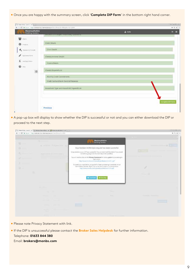● Once you are happy with the summary screen, click '**Complete DIP Form**' in the bottom right hand corner.

| Monmouthshire<br>A Hello<br><b>Building Society</b><br><b>Designation of the Company of the Company</b><br><b>RS-SECOND MARKET SUBMIT ASSISTENT ACCORDING</b><br><b>Salt</b> Clerry<br>Cient Dotalis<br>$\theta$ restors<br>Cleri Detals<br>Communicate<br>A Application Form<br>Clent(i) Income Details<br>£ seeing frimm.<br>Income Details<br>$\mathbf{Q}$<br>Cient(s) Expenditure<br>$\circ$<br>Monthly Credit Commitments<br>Credit Card and Bank Overdraft Balances<br>Household Type and Household Expenditure | 8年11日<br>$-9.9$ 1  |
|-----------------------------------------------------------------------------------------------------------------------------------------------------------------------------------------------------------------------------------------------------------------------------------------------------------------------------------------------------------------------------------------------------------------------------------------------------------------------------------------------------------------------|--------------------|
|                                                                                                                                                                                                                                                                                                                                                                                                                                                                                                                       | $H =$              |
|                                                                                                                                                                                                                                                                                                                                                                                                                                                                                                                       |                    |
|                                                                                                                                                                                                                                                                                                                                                                                                                                                                                                                       |                    |
|                                                                                                                                                                                                                                                                                                                                                                                                                                                                                                                       |                    |
|                                                                                                                                                                                                                                                                                                                                                                                                                                                                                                                       |                    |
|                                                                                                                                                                                                                                                                                                                                                                                                                                                                                                                       |                    |
|                                                                                                                                                                                                                                                                                                                                                                                                                                                                                                                       |                    |
|                                                                                                                                                                                                                                                                                                                                                                                                                                                                                                                       |                    |
|                                                                                                                                                                                                                                                                                                                                                                                                                                                                                                                       |                    |
|                                                                                                                                                                                                                                                                                                                                                                                                                                                                                                                       |                    |
|                                                                                                                                                                                                                                                                                                                                                                                                                                                                                                                       |                    |
|                                                                                                                                                                                                                                                                                                                                                                                                                                                                                                                       | Complete Diff Form |
| Previous                                                                                                                                                                                                                                                                                                                                                                                                                                                                                                              |                    |

● A pop-up box will display to show whether the DIP is successful or not and you can either download the DIP or proceed to the next step.

|            | C. handow (sect. x ( ) here for elet x ( ) lower with let it x |                                                                                                                                                          |                | <b>LOUISIENSE</b>                 |
|------------|----------------------------------------------------------------|----------------------------------------------------------------------------------------------------------------------------------------------------------|----------------|-----------------------------------|
|            | E C & Source: Historienservicements accentivation (III)        |                                                                                                                                                          |                | $+9.91$                           |
|            |                                                                |                                                                                                                                                          | Monmouthshire  |                                   |
| u          |                                                                | <b>Building Society</b>                                                                                                                                  |                |                                   |
|            | a Valley Tillims 2216 A                                        | Your Decision in Principle request has been successful                                                                                                   |                | <b>Common Committee Committee</b> |
|            | ACTIVE AND RESIDENCE OF REAL                                   | Congratulations your OP was successful. You can cover lead the details if you would<br>like before going on to the next step in the worldlow.            |                |                                   |
|            |                                                                | You will need to click on the Privacy Statement link below, prior to proceeding to<br>application.                                                       |                |                                   |
|            |                                                                | http://www.mandis.com/spidads/publications/1223_1.pdf                                                                                                    |                |                                   |
| $\alpha =$ |                                                                | To speed your application, our guide for faster processing is available on our<br>Internediary website. Right club on the first to open in a now window: |                |                                   |
|            |                                                                | http://www.maribs.com/uploads/publications/1175.pdf                                                                                                      |                |                                   |
|            |                                                                |                                                                                                                                                          |                |                                   |
|            |                                                                | <b>&amp; Covercial</b> + Nortony                                                                                                                         |                |                                   |
|            |                                                                |                                                                                                                                                          |                |                                   |
|            |                                                                |                                                                                                                                                          |                |                                   |
|            |                                                                |                                                                                                                                                          |                |                                   |
|            | <b>Contract Contract</b>                                       |                                                                                                                                                          | <b>Service</b> | 25 minutes 27 minutes for         |
|            |                                                                |                                                                                                                                                          |                |                                   |
|            | <b>Service State</b>                                           |                                                                                                                                                          |                |                                   |
|            |                                                                |                                                                                                                                                          |                |                                   |
|            |                                                                |                                                                                                                                                          |                |                                   |

- Please note Privacy Statement with link.
- If the DIP is unsuccessful please contact the **Broker Sales Helpdesk** for further information. Telephone: **01633 844 380** Email: **brokers@monbs.com**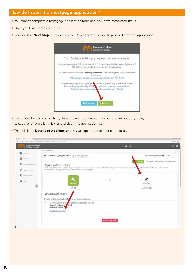#### How do I submit a mortgage application?

- You cannot complete a mortgage application form until you have completed the DIP.
- Once you have completed the DIP,
- Click on the '**Next Step**' button from the DIP confirmation box to proceed onto the application.



- If you have logged out of the system and wish to complete details at a later stage, login, select client from client view and click on the application icon.
- Then click on '**Details of Application**', this will open the form for completion.

| Monmouthshire<br><b>Building Society</b> |                                                                                                                                                                                                                               | A Hello                   | <b>B</b> =                                               |
|------------------------------------------|-------------------------------------------------------------------------------------------------------------------------------------------------------------------------------------------------------------------------------|---------------------------|----------------------------------------------------------|
| ₩.                                       | <b>ER</b> Applications                                                                                                                                                                                                        |                           |                                                          |
|                                          | ● v Active <sup>1</sup> 15 June 2018 A Submit Application                                                                                                                                                                     |                           | Additional Applicants M Test                             |
| <b>O</b> Products                        |                                                                                                                                                                                                                               |                           | A Mortgage Club or Network to this Application<br>kssier |
| Commitment                               | Application Process Status                                                                                                                                                                                                    |                           |                                                          |
| Application Form:                        | We have identified an issue with the KFI generation process and as a result have nemoved this from the application process. You are still able<br>the KFI will need to be penerated from an alternate source such as Tripold. |                           | produce a DIP and submit an application but              |
|                                          |                                                                                                                                                                                                                               |                           |                                                          |
| E Lexingtonera                           |                                                                                                                                                                                                                               |                           |                                                          |
| €<br>Help                                |                                                                                                                                                                                                                               |                           | ℐ                                                        |
| $\circ$                                  | PASSED                                                                                                                                                                                                                        |                           | <b>PENDING</b>                                           |
|                                          | DP O                                                                                                                                                                                                                          |                           | Apolication @                                            |
|                                          | Application Forms                                                                                                                                                                                                             |                           |                                                          |
|                                          | Details of the Application Forms for this application.                                                                                                                                                                        |                           |                                                          |
|                                          | Ю<br>Monmouthshire B 5 residential Application Form                                                                                                                                                                           |                           |                                                          |
|                                          | Started: 15 June 201 11:10<br>Status - Pending                                                                                                                                                                                |                           |                                                          |
|                                          | Details of Application                                                                                                                                                                                                        |                           |                                                          |
|                                          |                                                                                                                                                                                                                               |                           |                                                          |
|                                          |                                                                                                                                                                                                                               | <b>Cancel Application</b> |                                                          |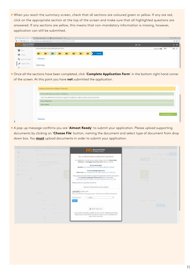● When you reach the summary screen, check that all sections are coloured green or yellow. If any are red, click on the appropriate section at the top of the screen and make sure that all highlighted questions are answered. If any sections are yellow, this means that non-mandatory information is missing, however, application can still be submitted.

|                                          | C   K Soon : https://a-beter/nbi-chemicareaze/visit/filestofal-S2LppAcmill-EDSD+ |        | 65. 设               |  |
|------------------------------------------|----------------------------------------------------------------------------------|--------|---------------------|--|
| Manmouthshire<br><b>Building Society</b> |                                                                                  | A more |                     |  |
| 쑬<br>Date:                               | Monmouthshire B S Responsal Application Ronts                                    |        | Applicants of Test. |  |
| $0$ holim                                | $\Box$<br><b>W</b> Summary<br>О<br>o<br>画<br>▣                                   |        |                     |  |
| ĸ<br><b>University</b> of America        | Previous                                                                         |        |                     |  |
| tested Farm.                             | Summary                                                                          |        |                     |  |

● Once all the sections have been completed, click '**Complete Application Form**' in the bottom right hand corner of the screen. At this point you have **not** submitted the application.

| Anatonia Information & Broker Dedaration: |                                                                                                  |                             |
|-------------------------------------------|--------------------------------------------------------------------------------------------------|-----------------------------|
|                                           | President discussed cirren print to subreturns                                                   |                             |
|                                           | If you have additional information to support this application, please provide commentary to two |                             |
| Broker Declaration                        |                                                                                                  |                             |
| thrown Details                            |                                                                                                  |                             |
|                                           |                                                                                                  |                             |
|                                           |                                                                                                  |                             |
|                                           |                                                                                                  | <b>Complete Application</b> |
|                                           |                                                                                                  |                             |
| <b>Previous</b>                           |                                                                                                  |                             |

● A pop-up message confirms you are '**Almost Ready**' to submit your application. Please upload supporting documents by clicking on '**Choose File**' button, naming the document and select type of document from drop down box. You **must** upload documents in order to submit your application.

| 故一                                | <b>Contract Contract Contract</b><br>IL PARK TOLER 200 14 - 12 | Monmouthshire                                                                                                                                                                                                                     | <b>Controlled Annual Control</b> |
|-----------------------------------|----------------------------------------------------------------|-----------------------------------------------------------------------------------------------------------------------------------------------------------------------------------------------------------------------------------|----------------------------------|
| 93                                |                                                                | You are almost ready to submit your application                                                                                                                                                                                   |                                  |
|                                   | the company's product that the                                 | Your Application is nearly ready to submit. Please click on the Direct Debit<br>Mondote and Mortgage Declaration Links Selbwin (drama).                                                                                           |                                  |
| <b>Contract Contract Contract</b> |                                                                | Society Direct Debit<br>Mandate: http://www.herbic.com/upbadv.publications/M2.pdf .                                                                                                                                               |                                  |
|                                   |                                                                | Society Mortgage Application<br>Declaration: http://www.morito.com/apitum/paddistore/3343.pdf                                                                                                                                     |                                  |
| <b>CC 10</b>                      |                                                                | mease uplead some decuments to support this application and they prestitutions.<br>Our miminium packaging requirements can be viewed here.<br>Bibliother CES Parameter Place in the control and related with a bibliother and the |                                  |
|                                   |                                                                | Please upidad your ausporting documents.                                                                                                                                                                                          |                                  |
|                                   |                                                                | There are no doductionic currently soldariest.                                                                                                                                                                                    |                                  |
|                                   |                                                                | Choose Flie: I to the chosen<br>Picera section! She of type jong, ang or jed only. (Dy to 4MB per damanent)                                                                                                                       |                                  |
|                                   |                                                                | <b>File Description</b><br>$-$ Select $-$<br>$\cdot$                                                                                                                                                                              |                                  |
|                                   |                                                                | دعبا                                                                                                                                                                                                                              | continued by a company company   |
|                                   | <b>Contract Contract</b>                                       |                                                                                                                                                                                                                                   |                                  |
|                                   | <b>Service Controllers</b>                                     | A Sidnik Application                                                                                                                                                                                                              |                                  |
|                                   |                                                                | No documents have been uploaded for this customer, Please ensure that the<br>related customer documents and customer insies are up to date before the                                                                             |                                  |
|                                   |                                                                | application is submitted.                                                                                                                                                                                                         |                                  |
|                                   |                                                                |                                                                                                                                                                                                                                   |                                  |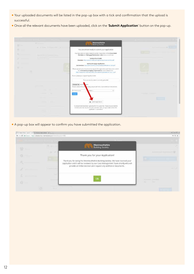- Your uploaded documents will be listed in the pop-up box with a tick and confirmation that the upload is successful.
- Once all the relevant documents have been uploaded, click on the '**Submit Application**' button on the pop-up.

| <b>Milled</b> | the company of                             | Monmouthshire                                                                                                                                                                                                                            |                                        |
|---------------|--------------------------------------------|------------------------------------------------------------------------------------------------------------------------------------------------------------------------------------------------------------------------------------------|----------------------------------------|
|               | At N come Philadelphia a communi-          | You are almost ready to submit your application                                                                                                                                                                                          | the control of the control of the con- |
|               | Application of the second service.         | Your Application is nearly ready to submit. Please click on the Direct Debit<br>Mandate and Mertgage Declaration Links twins to instinue.                                                                                                |                                        |
|               | <b>Contract Contract Contract Contract</b> | Society Direct Dobit<br>Mandabi: http://www.martin.com/taploads/publications/S&Lock                                                                                                                                                      |                                        |
|               |                                            | Seckriy Mortgage Application<br>Top Cat / amiddle probaction of the control and teach teach teachers'                                                                                                                                    |                                        |
| $O -$         |                                            | Please up itself yerte the urearty its support that upplication and then press sulents.<br>their minnimum packaging requirements can be viewed here.<br>New York Section Policina data consideration and conservative attended to the AM | <b>Committee State</b>                 |
|               |                                            | Please uphako your supporting decuments.                                                                                                                                                                                                 |                                        |
|               |                                            | There are no documents currently uplicated.                                                                                                                                                                                              |                                        |
|               |                                            | Choose File   To Tie<br>Odert<br>Please upload files at the larg, and or pil resty, just to abid per document.                                                                                                                           |                                        |
|               |                                            | Plie Determinati<br>Colori -<br>$\leftarrow$                                                                                                                                                                                             |                                        |
|               |                                            |                                                                                                                                                                                                                                          | <b>CONTRACTOR</b> IS NOT THE OWNER.    |
|               |                                            |                                                                                                                                                                                                                                          | <b>STATISTICS</b>                      |
|               |                                            | A Tuberit Application                                                                                                                                                                                                                    |                                        |
|               |                                            | No documents have been uploaded for this sustainer. Please ensure that the<br>inized uzationer documents and custo-ber notes are up to date before the                                                                                   |                                        |
|               |                                            |                                                                                                                                                                                                                                          |                                        |

● A pop-up box will appear to confirm you have submitted the application.

| <b>COmmu IIIII Ja vulkili Li</b> |                          |                                                                                                                                                                   |                                     |
|----------------------------------|--------------------------|-------------------------------------------------------------------------------------------------------------------------------------------------------------------|-------------------------------------|
| <b>The Second Service</b>        | en au                    | Monmouthshire<br><b>Building Society</b>                                                                                                                          |                                     |
| 43                               | $\sim$<br><b>All</b>     | Thank you for your Application!                                                                                                                                   | Athletical June committee           |
|                                  |                          | Thank you for using the Monmouthshire Building Society. We have received your<br>application and it will be reviewed by our Case Management Team shortly who will |                                     |
|                                  | <b>Contract Contract</b> | provide an initial decision and request any additional documents.                                                                                                 |                                     |
| G                                |                          |                                                                                                                                                                   |                                     |
| e.                               |                          | Oł                                                                                                                                                                | O mill O little<br>$-124$<br>$\sim$ |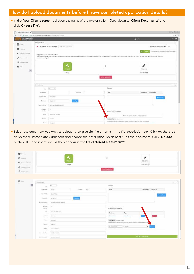#### How do I upload documents before I have completed application details?

● In the '**Your Clients screen**' , click on the name of the relevant client. Scroll down to '**Client Documents**' and click '**Choose File**'**.**

|                                                                           |                                                     | C B Son : http://a-besond-clemetarescon/Cont/Datable-000 |                 |                              |                                                                                                                                                                                                                                                                                 |
|---------------------------------------------------------------------------|-----------------------------------------------------|----------------------------------------------------------|-----------------|------------------------------|---------------------------------------------------------------------------------------------------------------------------------------------------------------------------------------------------------------------------------------------------------------------------------|
| Manmouthshire                                                             |                                                     |                                                          |                 |                              | A mile                                                                                                                                                                                                                                                                          |
| <b>赞</b> (1980)                                                           | <b>ED</b> Applications:                             |                                                          |                 |                              |                                                                                                                                                                                                                                                                                 |
|                                                                           |                                                     | O v Active E115 June 2018 A Submit April (ali            |                 |                              | Additional Applicants 留 Test                                                                                                                                                                                                                                                    |
| 0<br>the transition of the second second.<br>If increases the contract of | Application Process Status<br>starch such in TripAL |                                                          |                 |                              | A Mangage Cub of Relaxin's D Shit Application<br>We have discribed as you a work the Of provintion propert and as a result bank removed that from the application process. You are doll act etc produce a 1/4 and to forth and population but their the of the tel and to be pr |
| £ innetwork<br>$\mathbf{Q} =$<br>$\circ$                                  |                                                     | ۰<br>PAS61D<br>$\mathcal{D}^{\omega}$                    |                 |                              | v<br><b>PENDING</b><br>App catters (C)                                                                                                                                                                                                                                          |
|                                                                           |                                                     |                                                          |                 |                              |                                                                                                                                                                                                                                                                                 |
|                                                                           |                                                     |                                                          |                 | stationi Application         |                                                                                                                                                                                                                                                                                 |
|                                                                           | CentDrials<br>Title.                                | $+1$<br><b>No</b>                                        |                 | Notes:                       |                                                                                                                                                                                                                                                                                 |
|                                                                           | <b>Pursecure</b>                                    |                                                          | Sarario         | <b>Note:</b>                 | Crossed By Created On                                                                                                                                                                                                                                                           |
|                                                                           | Duta of Birth                                       | STATE-TIFLE                                              |                 |                              | <b>A add tum</b>                                                                                                                                                                                                                                                                |
|                                                                           | Petetaside                                          | <b>BIP201FF</b>                                          | <b>Laurence</b> |                              |                                                                                                                                                                                                                                                                                 |
|                                                                           | Property Name                                       | Morreuthshire Mily Soc                                   |                 |                              |                                                                                                                                                                                                                                                                                 |
|                                                                           | Property<br><b>NUMBER</b>                           | 15.                                                      |                 | Client Documents             |                                                                                                                                                                                                                                                                                 |
|                                                                           | Road                                                | John Find Square                                         |                 |                              | There are us discurrents currently sploaded.                                                                                                                                                                                                                                    |
|                                                                           | <b>Darrist</b>                                      | Ilima i                                                  |                 | Cheese Fox 1 has the choices | Please earliest Shet of hips jong, ang or pill tells. File to UHS per discussed it                                                                                                                                                                                              |

● Select the document you wish to upload, then give the file a name in the file description box. Click on the drop down menu immediately adjacent and choose the description which best suits the document. Click '**Upload**' button. The document should then appear in the list of '**Client Documents**'.

| $0$ Folds:                |                         | ۰                                | I<br>s                                                                                                        |
|---------------------------|-------------------------|----------------------------------|---------------------------------------------------------------------------------------------------------------|
| A mornings                |                         | PASSED                           | <b>PENDING</b>                                                                                                |
|                           |                         | pin 4D                           | Australian Ch                                                                                                 |
| Automobile<br>E Leingtown |                         |                                  | Connel Application                                                                                            |
| $\mathbf{0} =$            | Circl Drudk.            |                                  |                                                                                                               |
| $\circ$                   | 700.                    | $\mu$ +                          | Notes                                                                                                         |
|                           | <b>FERNISHER</b>        | Teddy:<br>Surrane Sec            | <b>Note</b><br>Created By  Created Dr.                                                                        |
|                           | <b>Date of series</b>   | m/os/risia                       | $+$ AC23/cMs                                                                                                  |
|                           | Policies                | $\left( n+1\right)$<br>BIP2D FPA |                                                                                                               |
|                           | Property Name           | Montes throughly set             |                                                                                                               |
|                           | Popery<br><b>Norder</b> | (3)                              | Client Documents                                                                                              |
|                           | <b>Riggi</b>            | <b>John Fixed Square</b>         | Type<br>Dollarswrd.                                                                                           |
|                           | Dailyd.                 | DOM:                             | <b>W</b> Swing<br>Marilenus.<br><b>CD</b><br>Direct DVLR                                                      |
|                           | 74m <sup>m</sup>        | Trielageand                      | Doose file to the choice                                                                                      |
|                           | comy.                   | Gwert.                           | Financiagibant films of type jong, and we put wells, trap to slick por durant<br>$-.5001$<br>File Description |
|                           | <b>Amal</b>             | <b>Jirolahmid</b>                | $\mathbf{F}$ . There                                                                                          |
|                           |                         |                                  |                                                                                                               |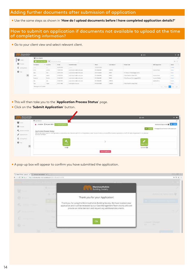#### Adding further documents after submission of application

● Use the same steps as shown in '**How do I upload documents before I have completed application details?'** 

#### How to submit an application if documents not available to upload at the time of completing information?

• Go to your client view and select relevant client.

| <b>Money Burn</b>        |                         |                                                                                                |                   |                                                             |                 |               | A value                             |                    | <b>DE</b>                |  |
|--------------------------|-------------------------|------------------------------------------------------------------------------------------------|-------------------|-------------------------------------------------------------|-----------------|---------------|-------------------------------------|--------------------|--------------------------|--|
| that a comment           | <b>M</b> Your Glente    |                                                                                                |                   |                                                             |                 |               |                                     |                    |                          |  |
|                          | 691                     |                                                                                                | Q investment      |                                                             |                 |               |                                     |                    | $\approx~1$              |  |
|                          | <b>Fortness</b>         | $+$ : buttons                                                                                  | box.              | <b>Enachhorized</b>                                         | Phone           | Longwood      | Photogri Lede                       | <b>CONTABILITY</b> | <b>Hand</b>              |  |
| E interactivity          | $\sim$                  | $\frac{1}{2} \left( \frac{1}{2} \right) \left( \frac{1}{2} \right) \left( \frac{1}{2} \right)$ | AUGUST 1992       | <b>Color</b>                                                | UNITABLE.       |               |                                     |                    | Times.                   |  |
|                          | 224                     | airear                                                                                         | 3409091           | summed mades refer                                          | 冷たし時止に関す        | HOSE.         |                                     | Subject form       | <b>Amid</b>              |  |
|                          | i.<br>h Col             | Day:                                                                                           | <b>CONTRACTOR</b> | superior during the state.                                  | STEED ANALES    | norm.         | 2 % Direkcer Redektorge (2222)      |                    | Adole .                  |  |
| $\vert \mathsf{o} \vert$ | $100 - 100$             | making.                                                                                        | 307047814         | business and characterizations                              | 2111394039      | sonce:        | I Year Ford Fut chase FSTS          | Suize n'e fost     | Armed.                   |  |
|                          | $\overline{\mathbb{Z}}$ | 9199<br>Duties.                                                                                | <b>JUSHAME</b>    | Automobile Reading the state.                               | SILMACION.      | $_{\rm 200C}$ | 2 Year & summer the company (2271). | Superint Dallin    | <b>And</b>               |  |
|                          | $\frac{1}{2}$           | $\left  \alpha \right\rangle$                                                                  | SIVE&FINED        | sustainable administrator<br>Lowelly, the Committee Schools | TELESCOPE       | 100000        |                                     | saubjecting.       | Arrest                   |  |
|                          | Test                    | Techni                                                                                         | Strikriski        | instead to a financial                                      | WYSSEE EIFEDING | special.      | I Year Ford Purchase (1982)         |                    | <b>And Col</b><br>Active |  |

- This will then take you to the '**Application Process Status**' page.
- Click on the '**Submit Application**' button.

| Manmouthshire<br>Building Society                 |                                                                                                                                                                                                                                        | A mile           |                                                  |
|---------------------------------------------------|----------------------------------------------------------------------------------------------------------------------------------------------------------------------------------------------------------------------------------------|------------------|--------------------------------------------------|
|                                                   | <b>E</b> Applications                                                                                                                                                                                                                  |                  |                                                  |
| 蟹cen                                              | O VACUA CITA (ME 2018 V SERRA (MENT)                                                                                                                                                                                                   |                  | Associal Appeares # 24                           |
| $0$ in the $\sim$                                 |                                                                                                                                                                                                                                        |                  | A Montgage Club air Nativism na shru mash oldari |
| $\mathbf{r}_{\mathbf{k}}$ (non-trace)<br>A nomina | Application Process Status<br>Application Process Suitus<br>Verse decision un de l'igneem possieries en cheese permet name de systeme posse dans et me e pouve de chieste equasion realitate permeters et deves<br>Abricant is bigged. |                  |                                                  |
| E integrant                                       |                                                                                                                                                                                                                                        |                  |                                                  |
| $\ddot{\bullet}$ –                                | <b>FARED</b>                                                                                                                                                                                                                           | <b>YAAFI ETI</b> |                                                  |
| $\circ$                                           | $50-60$                                                                                                                                                                                                                                | Santanan (D)     |                                                  |
|                                                   |                                                                                                                                                                                                                                        | Cased Auction    |                                                  |

● A pop-up box will appear to confirm you have submitted the application.

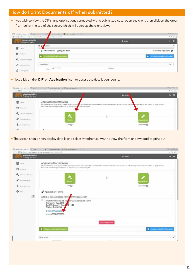#### How do I print Documents off when submitted?

- If you wish to view the DIP's, and applications connected with a submitted case, open the client then click on the green
	- '+' symbol at the top of the screen, which will open up the client view.

| C B Source Impacts between the mediatrix<br>$+ -$ | COMMUNICATION                           |         | $\approx 0.9$                    |
|---------------------------------------------------|-----------------------------------------|---------|----------------------------------|
| Manmouthshire<br><b>Building Society</b>          |                                         | A Hello | $\mathbf{B}$                     |
| 불 cent                                            | 同位<br>cations<br><b>Christians</b>      |         | X                                |
|                                                   | $Q \checkmark$ Submitted $14$ June 2018 |         | Additional Applicants            |
| $\theta$<br>Produtty)                             | O Create A New Single Application       |         | O Create A New Joint Application |
| ×.<br>Debision in Principle.                      |                                         |         |                                  |
| s<br>Application From                             | Chent Details                           |         | $ \lambda$                       |
| E (overground)                                    | - 25<br>$We$<br>Title                   | Notes   |                                  |

● Now click on the '**DIP**' or '**Application**' icon to access the details you require.

|                                                 | C B Soon: Http://e-bolenvils-international.com/Dert/District-486          |                                                                                                                                                                                      | 新店面                |
|-------------------------------------------------|---------------------------------------------------------------------------|--------------------------------------------------------------------------------------------------------------------------------------------------------------------------------------|--------------------|
| <b>Monmouthshire</b><br><b>Building Society</b> |                                                                           | $A$ Hello                                                                                                                                                                            | $\bullet$ $\equiv$ |
| 營<br>Christ                                     | Application Process Status                                                | We have identified an issue with the KH generation program a moult have removed this from the application process. You are still able to produce a DIF and submit an application but |                    |
| 0.74487                                         | the RFI will need to be generated from an alternate some such as Trigold. |                                                                                                                                                                                      |                    |
| Communities                                     |                                                                           |                                                                                                                                                                                      |                    |
| Apatication From:                               | <b>PASSED</b>                                                             | COMPLETED                                                                                                                                                                            |                    |
| Listering Ordera                                | $or \bigcirc$                                                             | Application.                                                                                                                                                                         |                    |
| $\overline{a}$                                  | $\sim$                                                                    |                                                                                                                                                                                      |                    |

● The screen should then display details and select whether you wish to view the form or download to print out.

|                                                                                                                                        | E = C B Sam : Http://adetec/nbi-https://act/Dent/Dent/Dent/En-455                                                                                                                                                                                                                                                                                                                                                                                                                                                                                                                                                                                           | 加压力                              |
|----------------------------------------------------------------------------------------------------------------------------------------|-------------------------------------------------------------------------------------------------------------------------------------------------------------------------------------------------------------------------------------------------------------------------------------------------------------------------------------------------------------------------------------------------------------------------------------------------------------------------------------------------------------------------------------------------------------------------------------------------------------------------------------------------------------|----------------------------------|
| Monmouthshire<br><b>Building Society</b>                                                                                               | A Hello                                                                                                                                                                                                                                                                                                                                                                                                                                                                                                                                                                                                                                                     | $\mathbf{B}$                     |
| 鬡<br>Claim's<br>o<br>Products<br>Decoration Principle<br>Application Form<br><b>Seating Official</b><br>$\mathbf{Q}$ . Here<br>$\circ$ | Application Process Status<br>We have identified an incor with the KR governion precase and as a need have removed this from the application process. You are still able to produce a DIP and submit an application but<br>the XE will resid to be generated from an alternate source such as Trigold.<br>PASSED<br><b>COMPLETEI</b><br>DP @<br>Application <b>63</b><br>Application Forms<br>Details of the Application Forms for this application<br>ø<br>Monmouthshire B S Red dential Application Form<br>Started: 14 June 2018 11<br>Last Updated: 14 June 7 / 18 11:32<br>Status - Completed<br>Details of Application<br><b>Cubut Corp.</b> Contact: |                                  |
|                                                                                                                                        | <b>Cancel Application</b><br>O CISSICA NEW SINGLE Application                                                                                                                                                                                                                                                                                                                                                                                                                                                                                                                                                                                               | O Create A New Joint Application |